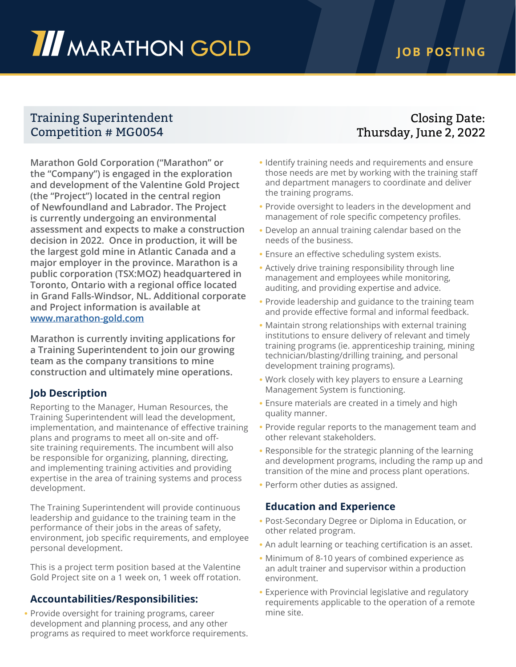# **III** MARATHON GOLD

## **JOB POSTING**

## Training Superintendent Competition # MG0054

**Marathon Gold Corporation ("Marathon" or the "Company") is engaged in the exploration and development of the Valentine Gold Project (the "Project") located in the central region of Newfoundland and Labrador. The Project is currently undergoing an environmental assessment and expects to make a construction decision in 2022. Once in production, it will be the largest gold mine in Atlantic Canada and a major employer in the province. Marathon is a public corporation (TSX:MOZ) headquartered in Toronto, Ontario with a regional office located in Grand Falls-Windsor, NL. Additional corporate and Project information is available at [www.marathon-gold.com](http://www.marathon-gold.com)**

**Marathon is currently inviting applications for a Training Superintendent to join our growing team as the company transitions to mine construction and ultimately mine operations.** 

### **Job Description**

Reporting to the Manager, Human Resources, the Training Superintendent will lead the development, implementation, and maintenance of effective training plans and programs to meet all on-site and offsite training requirements. The incumbent will also be responsible for organizing, planning, directing, and implementing training activities and providing expertise in the area of training systems and process development.

The Training Superintendent will provide continuous leadership and guidance to the training team in the performance of their jobs in the areas of safety, environment, job specific requirements, and employee personal development.

This is a project term position based at the Valentine Gold Project site on a 1 week on, 1 week off rotation.

### **Accountabilities/Responsibilities:**

• Provide oversight for training programs, career development and planning process, and any other programs as required to meet workforce requirements.

## Closing Date: Thursday, June 2, 2022

- Identify training needs and requirements and ensure those needs are met by working with the training staff and department managers to coordinate and deliver the training programs.
- Provide oversight to leaders in the development and management of role specific competency profiles.
- Develop an annual training calendar based on the needs of the business.
- Ensure an effective scheduling system exists.
- Actively drive training responsibility through line management and employees while monitoring, auditing, and providing expertise and advice.
- Provide leadership and guidance to the training team and provide effective formal and informal feedback.
- Maintain strong relationships with external training institutions to ensure delivery of relevant and timely training programs (ie. apprenticeship training, mining technician/blasting/drilling training, and personal development training programs).
- Work closely with key players to ensure a Learning Management System is functioning.
- Ensure materials are created in a timely and high quality manner.
- Provide regular reports to the management team and other relevant stakeholders.
- Responsible for the strategic planning of the learning and development programs, including the ramp up and transition of the mine and process plant operations.
- Perform other duties as assigned.

#### **Education and Experience**

- Post-Secondary Degree or Diploma in Education, or other related program.
- An adult learning or teaching certification is an asset.
- Minimum of 8-10 years of combined experience as an adult trainer and supervisor within a production environment.
- Experience with Provincial legislative and regulatory requirements applicable to the operation of a remote mine site.